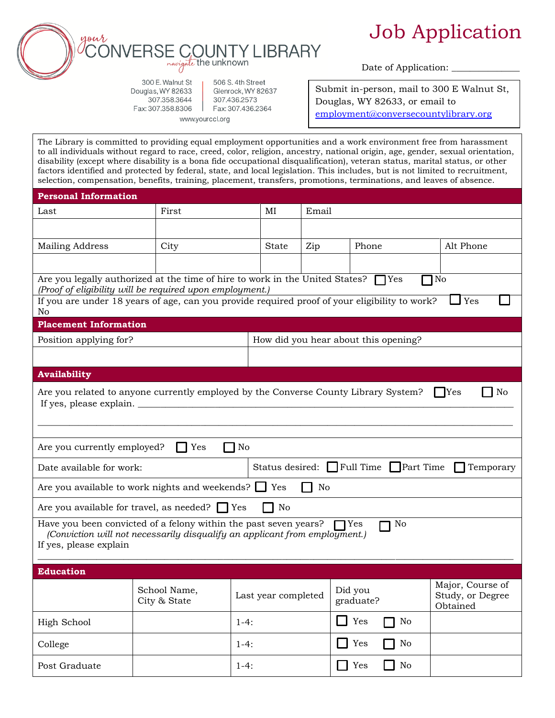

## Job Application

Date of Application:

300 E. Walnut St Douglas, WY 82633 307.358.3644 Fax: 307.358.8306

506 S. 4th Street Glenrock, WY 82637 307.436.2573 Fax: 307.436.2364 www.yourccl.org

Submit in-person, mail to 300 E Walnut St, Douglas, WY 82633, or email to [employment@conversecountylibrary.org](mailto:employment@conversecountylibrary.org)

The Library is committed to providing equal employment opportunities and a work environment free from harassment to all individuals without regard to race, creed, color, religion, ancestry, national origin, age, gender, sexual orientation, disability (except where disability is a bona fide occupational disqualification), veteran status, marital status, or other factors identified and protected by federal, state, and local legislation. This includes, but is not limited to recruitment, selection, compensation, benefits, training, placement, transfers, promotions, terminations, and leaves of absence.

| <b>Personal Information</b>                                                                                                                                                             |                              |                                                  |                                      |                            |                                                  |  |  |  |  |
|-----------------------------------------------------------------------------------------------------------------------------------------------------------------------------------------|------------------------------|--------------------------------------------------|--------------------------------------|----------------------------|--------------------------------------------------|--|--|--|--|
| Last                                                                                                                                                                                    | First                        | MI                                               | Email                                |                            |                                                  |  |  |  |  |
|                                                                                                                                                                                         |                              |                                                  |                                      |                            |                                                  |  |  |  |  |
| Mailing Address                                                                                                                                                                         | City                         | <b>State</b>                                     | Zip                                  | Phone                      | Alt Phone                                        |  |  |  |  |
|                                                                                                                                                                                         |                              |                                                  |                                      |                            |                                                  |  |  |  |  |
| Are you legally authorized at the time of hire to work in the United States?<br>$\bigcap$ Yes<br>No<br>(Proof of eligibility will be required upon employment.)                         |                              |                                                  |                                      |                            |                                                  |  |  |  |  |
| If you are under 18 years of age, can you provide required proof of your eligibility to work?<br>Yes<br>No                                                                              |                              |                                                  |                                      |                            |                                                  |  |  |  |  |
| <b>Placement Information</b>                                                                                                                                                            |                              |                                                  |                                      |                            |                                                  |  |  |  |  |
| Position applying for?                                                                                                                                                                  |                              |                                                  | How did you hear about this opening? |                            |                                                  |  |  |  |  |
|                                                                                                                                                                                         |                              |                                                  |                                      |                            |                                                  |  |  |  |  |
| <b>Availability</b>                                                                                                                                                                     |                              |                                                  |                                      |                            |                                                  |  |  |  |  |
| No<br>Are you related to anyone currently employed by the Converse County Library System?<br>$\Box$ Yes<br>If yes, please explain.                                                      |                              |                                                  |                                      |                            |                                                  |  |  |  |  |
| Yes<br>No<br>Are you currently employed?                                                                                                                                                |                              |                                                  |                                      |                            |                                                  |  |  |  |  |
| Date available for work:                                                                                                                                                                |                              | Status desired: Full Time Part Time<br>Temporary |                                      |                            |                                                  |  |  |  |  |
| Are you available to work nights and weekends? $\Box$<br>Yes<br>No                                                                                                                      |                              |                                                  |                                      |                            |                                                  |  |  |  |  |
| No<br>Are you available for travel, as needed? Yes                                                                                                                                      |                              |                                                  |                                      |                            |                                                  |  |  |  |  |
| Have you been convicted of a felony within the past seven years?<br>No<br>l Yes<br>(Conviction will not necessarily disqualify an applicant from employment.)<br>If yes, please explain |                              |                                                  |                                      |                            |                                                  |  |  |  |  |
| <b>Education</b>                                                                                                                                                                        |                              |                                                  |                                      |                            |                                                  |  |  |  |  |
|                                                                                                                                                                                         | School Name,<br>City & State | Last year completed                              |                                      | Did you<br>graduate?       | Major, Course of<br>Study, or Degree<br>Obtained |  |  |  |  |
| High School                                                                                                                                                                             |                              | $1-4:$                                           |                                      | Yes<br>No                  |                                                  |  |  |  |  |
| College                                                                                                                                                                                 |                              | $1-4:$                                           |                                      | Yes<br>$\rm No$<br>- 1     |                                                  |  |  |  |  |
| Post Graduate                                                                                                                                                                           |                              | $1-4:$                                           |                                      | Yes<br>No<br>$\Box$<br>- 1 |                                                  |  |  |  |  |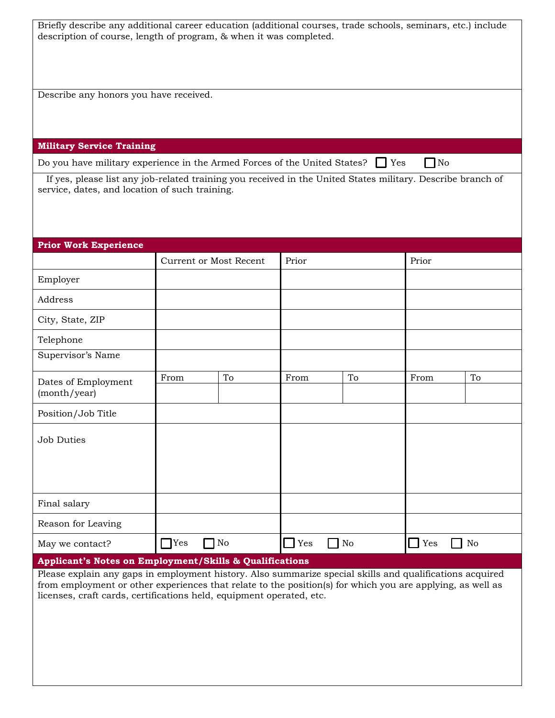| Briefly describe any additional career education (additional courses, trade schools, seminars, etc.) include<br>description of course, length of program, & when it was completed.                                                                                                                                                                        |                               |              |            |           |            |       |  |  |
|-----------------------------------------------------------------------------------------------------------------------------------------------------------------------------------------------------------------------------------------------------------------------------------------------------------------------------------------------------------|-------------------------------|--------------|------------|-----------|------------|-------|--|--|
| Describe any honors you have received.                                                                                                                                                                                                                                                                                                                    |                               |              |            |           |            |       |  |  |
|                                                                                                                                                                                                                                                                                                                                                           |                               |              |            |           |            |       |  |  |
| <b>Military Service Training</b>                                                                                                                                                                                                                                                                                                                          |                               |              |            |           |            |       |  |  |
| $\Box$ No<br>Do you have military experience in the Armed Forces of the United States? $\Box$ Yes<br>If yes, please list any job-related training you received in the United States military. Describe branch of<br>service, dates, and location of such training.                                                                                        |                               |              |            |           |            |       |  |  |
| <b>Prior Work Experience</b>                                                                                                                                                                                                                                                                                                                              |                               |              |            |           |            |       |  |  |
|                                                                                                                                                                                                                                                                                                                                                           | <b>Current or Most Recent</b> |              |            | Prior     |            | Prior |  |  |
| Employer                                                                                                                                                                                                                                                                                                                                                  |                               |              |            |           |            |       |  |  |
| Address                                                                                                                                                                                                                                                                                                                                                   |                               |              |            |           |            |       |  |  |
| City, State, ZIP                                                                                                                                                                                                                                                                                                                                          |                               |              |            |           |            |       |  |  |
| Telephone                                                                                                                                                                                                                                                                                                                                                 |                               |              |            |           |            |       |  |  |
| Supervisor's Name                                                                                                                                                                                                                                                                                                                                         |                               |              |            |           |            |       |  |  |
| Dates of Employment<br>(month/year)                                                                                                                                                                                                                                                                                                                       | From                          | To           | From       | To        | From       | To    |  |  |
| Position/Job Title                                                                                                                                                                                                                                                                                                                                        |                               |              |            |           |            |       |  |  |
| <b>Job Duties</b>                                                                                                                                                                                                                                                                                                                                         |                               |              |            |           |            |       |  |  |
| Final salary                                                                                                                                                                                                                                                                                                                                              |                               |              |            |           |            |       |  |  |
| Reason for Leaving                                                                                                                                                                                                                                                                                                                                        |                               |              |            |           |            |       |  |  |
| May we contact?                                                                                                                                                                                                                                                                                                                                           | $\Box$ Yes                    | $\bigcap$ No | $\Box$ Yes | $\Box$ No | Yes<br>- 1 | No    |  |  |
| Applicant's Notes on Employment/Skills & Qualifications<br>Please explain any gaps in employment history. Also summarize special skills and qualifications acquired<br>from employment or other experiences that relate to the position(s) for which you are applying, as well as<br>licenses, craft cards, certifications held, equipment operated, etc. |                               |              |            |           |            |       |  |  |